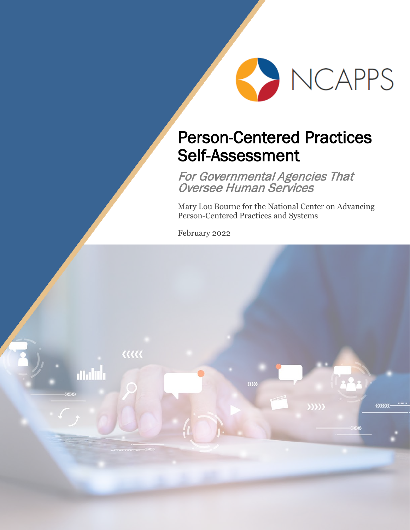

# Person-Centered Practices Self-Assessment

For Governmental Agencies That Oversee Human Services

 $\rangle\rangle\rangle\rangle$ 

<u>uuuu</u>

Mary Lou Bourne for the National Center on Advancing Person-Centered Practices and Systems

February 2022

 $\langle\langle\langle\langle$ 

aanh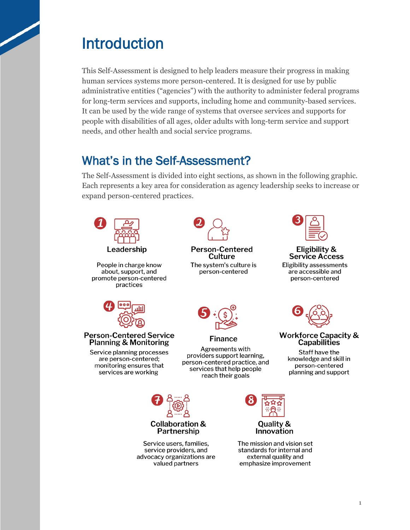# Introduction

 human services systems more person-centered. It is designed for use by public needs, and other health and social service programs. This Self-Assessment is designed to help leaders measure their progress in making administrative entities ("agencies") with the authority to administer federal programs for long-term services and supports, including home and community-based services. It can be used by the wide range of systems that oversee services and supports for people with disabilities of all ages, older adults with long-term service and support

# What's in the Self-Assessment?

The Self-Assessment is divided into eight sections, as shown in the following graphic. Each represents a key area for consideration as agency leadership seeks to increase or expand person-centered practices.

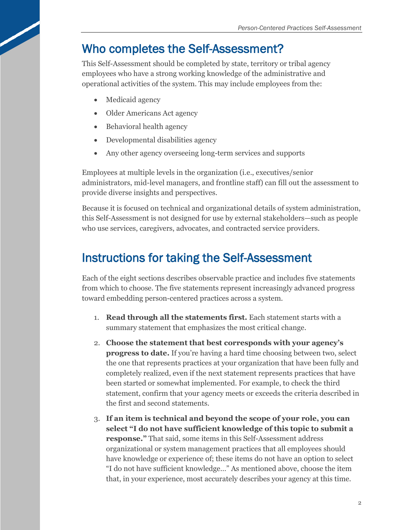# Who completes the Self-Assessment?

This Self-Assessment should be completed by state, territory or tribal agency employees who have a strong working knowledge of the administrative and operational activities of the system. This may include employees from the:

- Medicaid agency
- Older Americans Act agency
- Behavioral health agency
- Developmental disabilities agency
- Any other agency overseeing long-term services and supports

Employees at multiple levels in the organization (i.e., executives/senior administrators, mid-level managers, and frontline staff) can fill out the assessment to provide diverse insights and perspectives.

Because it is focused on technical and organizational details of system administration, this Self-Assessment is not designed for use by external stakeholders—such as people who use services, caregivers, advocates, and contracted service providers.

# Instructions for taking the Self-Assessment

Each of the eight sections describes observable practice and includes five statements from which to choose. The five statements represent increasingly advanced progress toward embedding person-centered practices across a system.

- 1. **Read through all the statements first.** Each statement starts with a summary statement that emphasizes the most critical change.
- 2. **Choose the statement that best corresponds with your agency's progress to date.** If you're having a hard time choosing between two, select the one that represents practices at your organization that have been fully and completely realized, even if the next statement represents practices that have been started or somewhat implemented. For example, to check the third statement, confirm that your agency meets or exceeds the criteria described in the first and second statements.
- organizational or system management practices that all employees should "I do not have sufficient knowledge…" As mentioned above, choose the item 3. **If an item is technical and beyond the scope of your role, you can select "I do not have sufficient knowledge of this topic to submit a response."** That said, some items in this Self-Assessment address have knowledge or experience of; these items do not have an option to select that, in your experience, most accurately describes your agency at this time.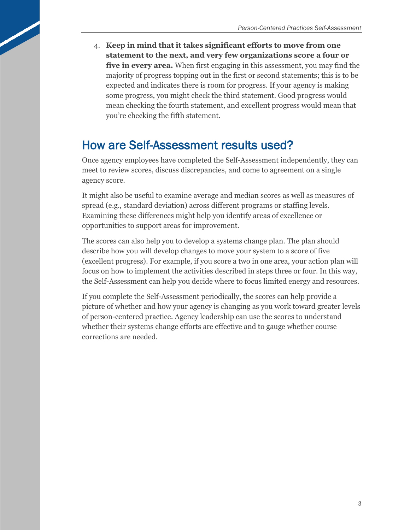4. **Keep in mind that it takes significant efforts to move from one five in every area.** When first engaging in this assessment, you may find the you're checking the fifth statement. **statement to the next, and very few organizations score a four or**  majority of progress topping out in the first or second statements; this is to be expected and indicates there is room for progress. If your agency is making some progress, you might check the third statement. Good progress would mean checking the fourth statement, and excellent progress would mean that

# How are Self-Assessment results used?

 meet to review scores, discuss discrepancies, and come to agreement on a single Once agency employees have completed the Self-Assessment independently, they can agency score.

It might also be useful to examine average and median scores as well as measures of spread (e.g., standard deviation) across different programs or staffing levels. Examining these differences might help you identify areas of excellence or opportunities to support areas for improvement.

The scores can also help you to develop a systems change plan. The plan should describe how you will develop changes to move your system to a score of five (excellent progress). For example, if you score a two in one area, your action plan will focus on how to implement the activities described in steps three or four. In this way, the Self-Assessment can help you decide where to focus limited energy and resources.

 of person-centered practice. Agency leadership can use the scores to understand whether their systems change efforts are effective and to gauge whether course If you complete the Self-Assessment periodically, the scores can help provide a picture of whether and how your agency is changing as you work toward greater levels corrections are needed.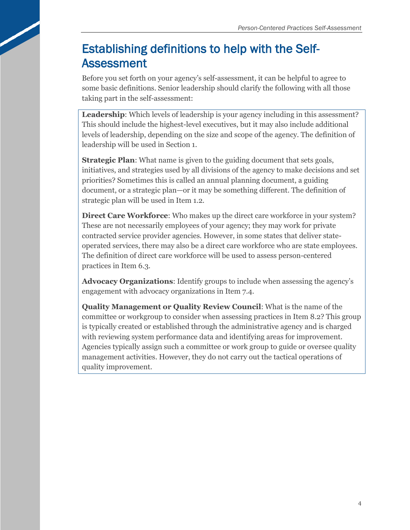# Establishing definitions to help with the Self-Assessment

Before you set forth on your agency's self-assessment, it can be helpful to agree to some basic definitions. Senior leadership should clarify the following with all those taking part in the self-assessment:

 This should include the highest-level executives, but it may also include additional levels of leadership, depending on the size and scope of the agency. The definition of **Leadership**: Which levels of leadership is your agency including in this assessment? leadership will be used in Section 1.

 strategic plan will be used in Item 1.2. **Strategic Plan**: What name is given to the guiding document that sets goals, initiatives, and strategies used by all divisions of the agency to make decisions and set priorities? Sometimes this is called an annual planning document, a guiding document, or a strategic plan—or it may be something different. The definition of

 These are not necessarily employees of your agency; they may work for private operated services, there may also be a direct care workforce who are state employees. practices in Item 6.3. **Direct Care Workforce:** Who makes up the direct care workforce in your system? contracted service provider agencies. However, in some states that deliver state-The definition of direct care workforce will be used to assess person-centered

 engagement with advocacy organizations in Item 7.4. **Advocacy Organizations**: Identify groups to include when assessing the agency's

 **Quality Management or Quality Review Council**: What is the name of the with reviewing system performance data and identifying areas for improvement. committee or workgroup to consider when assessing practices in Item 8.2? This group is typically created or established through the administrative agency and is charged Agencies typically assign such a committee or work group to guide or oversee quality management activities. However, they do not carry out the tactical operations of quality improvement.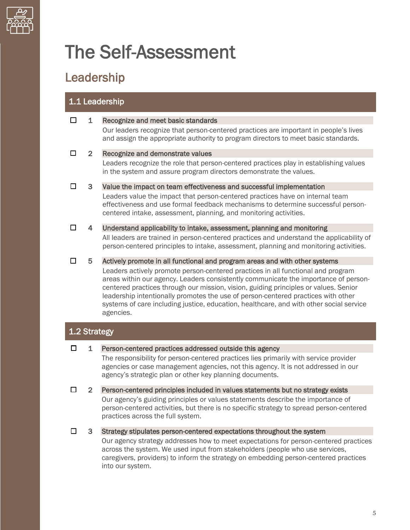

# The Self-Assessment

# Leadership

# 1.1 Leadership

| П      | 1              | Recognize and meet basic standards                                                                                                                                                                                                                                                                                                                                                                                                                           |
|--------|----------------|--------------------------------------------------------------------------------------------------------------------------------------------------------------------------------------------------------------------------------------------------------------------------------------------------------------------------------------------------------------------------------------------------------------------------------------------------------------|
|        |                | Our leaders recognize that person-centered practices are important in people's lives<br>and assign the appropriate authority to program directors to meet basic standards.                                                                                                                                                                                                                                                                                   |
| □      | $\overline{2}$ | Recognize and demonstrate values                                                                                                                                                                                                                                                                                                                                                                                                                             |
|        |                | Leaders recognize the role that person-centered practices play in establishing values<br>in the system and assure program directors demonstrate the values.                                                                                                                                                                                                                                                                                                  |
| П      | 3              | Value the impact on team effectiveness and successful implementation                                                                                                                                                                                                                                                                                                                                                                                         |
|        |                | Leaders value the impact that person-centered practices have on internal team<br>effectiveness and use formal feedback mechanisms to determine successful person-<br>centered intake, assessment, planning, and monitoring activities.                                                                                                                                                                                                                       |
| $\Box$ | 4              | Understand applicability to intake, assessment, planning and monitoring                                                                                                                                                                                                                                                                                                                                                                                      |
|        |                | All leaders are trained in person-centered practices and understand the applicability of<br>person-centered principles to intake, assessment, planning and monitoring activities.                                                                                                                                                                                                                                                                            |
| □      | 5.             | Actively promote in all functional and program areas and with other systems                                                                                                                                                                                                                                                                                                                                                                                  |
|        |                | Leaders actively promote person-centered practices in all functional and program<br>areas within our agency. Leaders consistently communicate the importance of person-<br>centered practices through our mission, vision, guiding principles or values. Senior<br>leadership intentionally promotes the use of person-centered practices with other<br>systems of care including justice, education, healthcare, and with other social service<br>agencies. |

# 1.2 Strategy

 $\Box$  1 Person-centered practices addressed outside this agency

 agencies or case management agencies, not this agency. It is not addressed in our The responsibility for person-centered practices lies primarily with service provider agency's strategic plan or other key planning documents.

 Our agency's guiding principles or values statements describe the importance of person-centered activities, but there is no specific strategy to spread person-centered  $\Box$  2 Person-centered principles included in values statements but no strategy exists practices across the full system.

 $\Box$  3 Strategy stipulates person-centered expectations throughout the system

 caregivers, providers) to inform the strategy on embedding person-centered practices Our agency strategy addresses how to meet expectations for person-centered practices across the system. We used input from stakeholders (people who use services, into our system.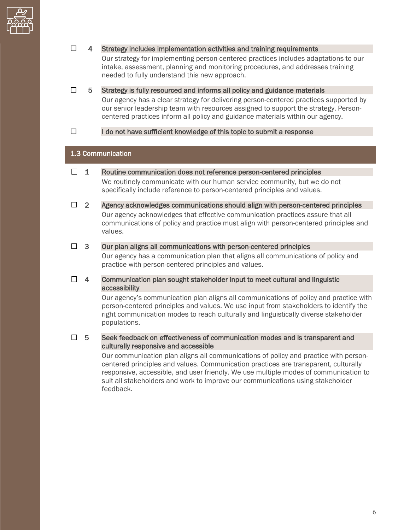

### $\Box$  4 Strategy includes implementation activities and training requirements

 Our strategy for implementing person-centered practices includes adaptations to our intake, assessment, planning and monitoring procedures, and addresses training needed to fully understand this new approach.

 centered practices inform all policy and guidance materials within our agency.  $\Box$  5 Strategy is fully resourced and informs all policy and guidance materials Our agency has a clear strategy for delivering person-centered practices supported by our senior leadership team with resources assigned to support the strategy. Person-

 $\Box$  I do not have sufficient knowledge of this topic to submit a response

### 1.3 Communication

- $\Box$  1 Routine communication does not reference person-centered principles We routinely communicate with our human service community, but we do not specifically include reference to person-centered principles and values.
- Our agency acknowledges that effective communication practices assure that all  $\Box$  2 Agency acknowledges communications should align with person-centered principles communications of policy and practice must align with person-centered principles and values.

#### $\Box$  3 Our plan aligns all communications with person-centered principles

 Our agency has a communication plan that aligns all communications of policy and practice with person-centered principles and values.

 $\Box$  4 Communication plan sought stakeholder input to meet cultural and linguistic accessibility

> Our agency's communication plan aligns all communications of policy and practice with person-centered principles and values. We use input from stakeholders to identify the right communication modes to reach culturally and linguistically diverse stakeholder populations.

#### $\Box$  5 5 Seek feedback on effectiveness of communication modes and is transparent and culturally responsive and accessible

 suit all stakeholders and work to improve our communications using stakeholder Our communication plan aligns all communications of policy and practice with personcentered principles and values. Communication practices are transparent, culturally responsive, accessible, and user friendly. We use multiple modes of communication to feedback.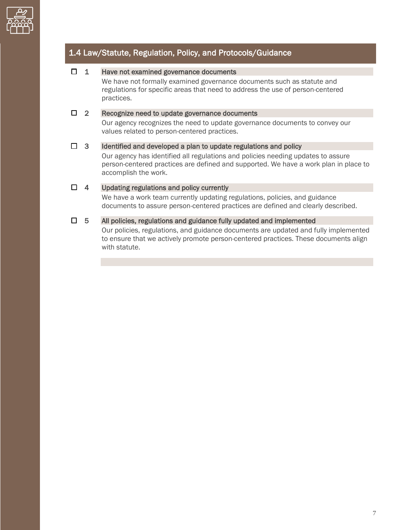

# 1.4 Law/Statute, Regulation, Policy, and Protocols/Guidance

### $\Box$  1 Have not examined governance documents

 regulations for specific areas that need to address the use of person-centered We have not formally examined governance documents such as statute and practices.

### $\Box$  2 Recognize need to update governance documents

Our agency recognizes the need to update governance documents to convey our values related to person-centered practices.

### $\Box$  3 Identified and developed a plan to update regulations and policy

 Our agency has identified all regulations and policies needing updates to assure person-centered practices are defined and supported. We have a work plan in place to accomplish the work.

### $\Box$  4 Updating regulations and policy currently

We have a work team currently updating regulations, policies, and guidance documents to assure person-centered practices are defined and clearly described.

### $\Box$  5 All policies, regulations and guidance fully updated and implemented

 Our policies, regulations, and guidance documents are updated and fully implemented to ensure that we actively promote person-centered practices. These documents align with statute.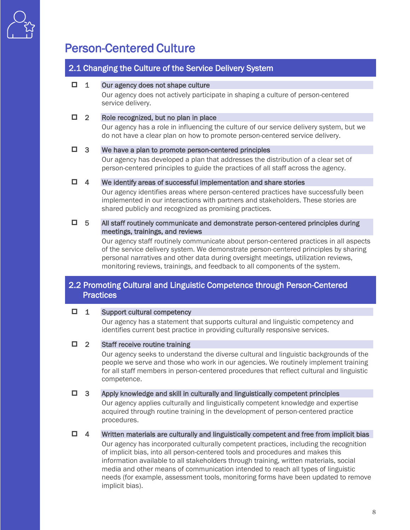

# Person-Centered Culture

### 2.1 Changing the Culture of the Service Delivery System

### $\Box$  1 Our agency does not shape culture

Our agency does not actively participate in shaping a culture of person-centered service delivery.

### □ 2 Role recognized, but no plan in place

Our agency has a role in influencing the culture of our service delivery system, but we do not have a clear plan on how to promote person-centered service delivery.

### $\Box$  3 We have a plan to promote person-centered principles

 Our agency has developed a plan that addresses the distribution of a clear set of person-centered principles to guide the practices of all staff across the agency.

### $\Box$  4 We identify areas of successful implementation and share stories

Our agency identifies areas where person-centered practices have successfully been implemented in our interactions with partners and stakeholders. These stories are shared publicly and recognized as promising practices.

### $\Box$  5 All staff routinely communicate and demonstrate person-centered principles during meetings, trainings, and reviews

 Our agency staff routinely communicate about person-centered practices in all aspects personal narratives and other data during oversight meetings, utilization reviews, of the service delivery system. We demonstrate person-centered principles by sharing monitoring reviews, trainings, and feedback to all components of the system.

## **Practices** 2.2 Promoting Cultural and Linguistic Competence through Person-Centered

### □ 1 Support cultural competency

 Our agency has a statement that supports cultural and linguistic competency and identifies current best practice in providing culturally responsive services.

### □ 2 Staff receive routine training

 Our agency seeks to understand the diverse cultural and linguistic backgrounds of the people we serve and those who work in our agencies. We routinely implement training for all staff members in person-centered procedures that reflect cultural and linguistic competence.

#### $\Box$  3 Apply knowledge and skill in culturally and linguistically competent principles

Our agency applies culturally and linguistically competent knowledge and expertise acquired through routine training in the development of person-centered practice procedures.

### $\Box$  4 Written materials are culturally and linguistically competent and free from implicit bias

 media and other means of communication intended to reach all types of linguistic Our agency has incorporated culturally competent practices, including the recognition of implicit bias, into all person-centered tools and procedures and makes this information available to all stakeholders through training, written materials, social needs (for example, assessment tools, monitoring forms have been updated to remove implicit bias).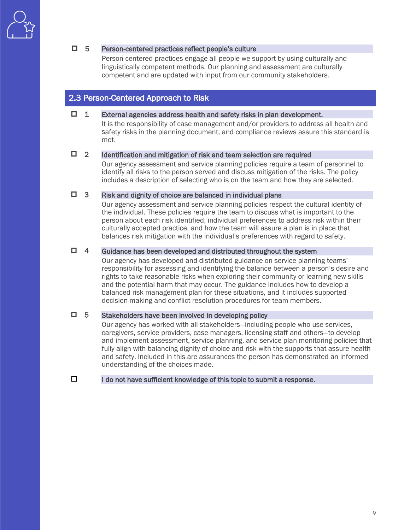### 5 Person-centered practices reflect people's culture

 linguistically competent methods. Our planning and assessment are culturally Person-centered practices engage all people we support by using culturally and competent and are updated with input from our community stakeholders.

### 2.3 Person-Centered Approach to Risk

### $\Box$  1 External agencies address health and safety risks in plan development.

 It is the responsibility of case management and/or providers to address all health and safety risks in the planning document, and compliance reviews assure this standard is met.

#### $\Box$  2 Identification and mitigation of risk and team selection are required

 includes a description of selecting who is on the team and how they are selected. Our agency assessment and service planning policies require a team of personnel to identify all risks to the person served and discuss mitigation of the risks. The policy

#### $\Box$  3 Risk and dignity of choice are balanced in individual plans

 the individual. These policies require the team to discuss what is important to the person about each risk identified, individual preferences to address risk within their balances risk mitigation with the individual's preferences with regard to safety. Our agency assessment and service planning policies respect the cultural identity of culturally accepted practice, and how the team will assure a plan is in place that

#### $\Box$  4 Guidance has been developed and distributed throughout the system

 responsibility for assessing and identifying the balance between a person's desire and balanced risk management plan for these situations, and it includes supported decision-making and conflict resolution procedures for team members. Our agency has developed and distributed guidance on service planning teams' rights to take reasonable risks when exploring their community or learning new skills and the potential harm that may occur. The guidance includes how to develop a

#### $\Box$  5 5 Stakeholders have been involved in developing policy

 and safety. Included in this are assurances the person has demonstrated an informed understanding of the choices made. Our agency has worked with all stakeholders—including people who use services, caregivers, service providers, case managers, licensing staff and others—to develop and implement assessment, service planning, and service plan monitoring policies that fully align with balancing dignity of choice and risk with the supports that assure health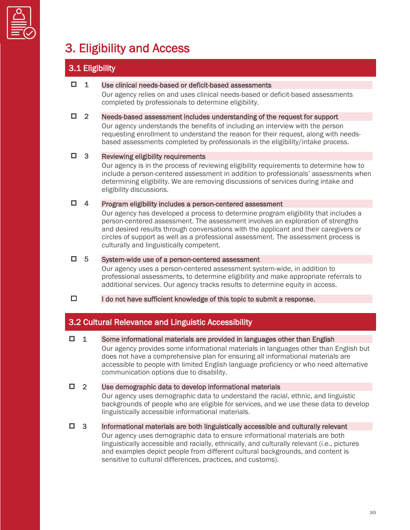

# 3. Eligibility and Access

# 3.1 Eligibility

### $\Box$  1 Use clinical needs-based or deficit-based assessments

 Our agency relies on and uses clinical needs-based or deficit-based assessments completed by professionals to determine eligibility.

### $\Box$  2 Needs-based assessment includes understanding of the request for support

 Our agency understands the benefits of including an interview with the person requesting enrollment to understand the reason for their request, along with needsbased assessments completed by professionals in the eligibility/intake process.

### $\Box$  3 Reviewing eligibility requirements

 determining eligibility. We are removing discussions of services during intake and Our agency is in the process of reviewing eligibility requirements to determine how to include a person-centered assessment in addition to professionals' assessments when eligibility discussions.

### □ 4 Program eligibility includes a person-centered assessment

 Our agency has developed a process to determine program eligibility that includes a person-centered assessment. The assessment involves an exploration of strengths and desired results through conversations with the applicant and their caregivers or circles of support as well as a professional assessment. The assessment process is culturally and linguistically competent.

### 5 System-wide use of a person-centered assessment

 Our agency uses a person-centered assessment system-wide, in addition to professional assessments, to determine eligibility and make appropriate referrals to additional services. Our agency tracks results to determine equity in access.

 $\Box$ I do not have sufficient knowledge of this topic to submit a response.

## 3.2 Cultural Relevance and Linguistic Accessibility

### $\Box$  1 Some informational materials are provided in languages other than English

 communication options due to disability. Our agency provides some informational materials in languages other than English but does not have a comprehensive plan for ensuring all informational materials are accessible to people with limited English language proficiency or who need alternative

### 2 Use demographic data to develop informational materials

 backgrounds of people who are eligible for services, and we use these data to develop Our agency uses demographic data to understand the racial, ethnic, and linguistic linguistically accessible informational materials.

 $\Box$  3 Informational materials are both linguistically accessible and culturally relevant

 Our agency uses demographic data to ensure informational materials are both and examples depict people from different cultural backgrounds, and content is linguistically accessible and racially, ethnically, and culturally relevant (i.e., pictures sensitive to cultural differences, practices, and customs).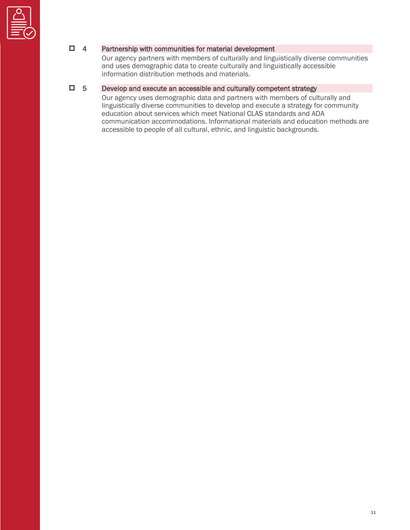

### □ 4 Partnership with communities for material development

 Our agency partners with members of culturally and linguistically diverse communities and uses demographic data to create culturally and linguistically accessible information distribution methods and materials.

### 5 Develop and execute an accessible and culturally competent strategy

 linguistically diverse communities to develop and execute a strategy for community education about services which meet National CLAS standards and ADA Our agency uses demographic data and partners with members of culturally and communication accommodations. Informational materials and education methods are accessible to people of all cultural, ethnic, and linguistic backgrounds.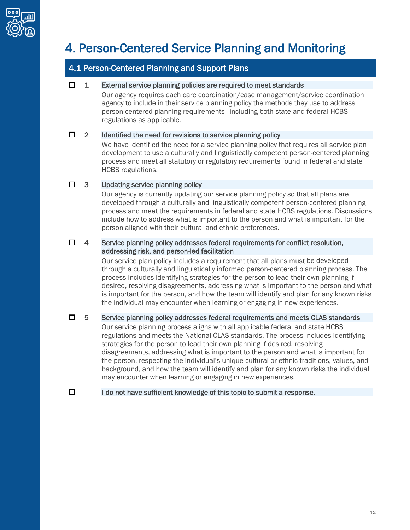

# 4. Person-Centered Service Planning and Monitoring

# 4.1 Person-Centered Planning and Support Plans

### $\Box$  1 External service planning policies are required to meet standards

Our agency requires each care coordination/case management/service coordination agency to include in their service planning policy the methods they use to address person-centered planning requirements—including both state and federal HCBS regulations as applicable.

### $\Box$  2 Identified the need for revisions to service planning policy

 We have identified the need for a service planning policy that requires all service plan process and meet all statutory or regulatory requirements found in federal and state development to use a culturally and linguistically competent person-centered planning HCBS regulations.

### $\Box$  3 Updating service planning policy

 Our agency is currently updating our service planning policy so that all plans are developed through a culturally and linguistically competent person-centered planning process and meet the requirements in federal and state HCBS regulations. Discussions include how to address what is important to the person and what is important for the person aligned with their cultural and ethnic preferences.

### $\Box$  4 Service planning policy addresses federal requirements for conflict resolution, addressing risk, and person-led facilitation

 Our service plan policy includes a requirement that all plans must be developed through a culturally and linguistically informed person-centered planning process. The desired, resolving disagreements, addressing what is important to the person and what process includes identifying strategies for the person to lead their own planning if is important for the person, and how the team will identify and plan for any known risks the individual may encounter when learning or engaging in new experiences.

### $\Box$  5 Service planning policy addresses federal requirements and meets CLAS standards

 disagreements, addressing what is important to the person and what is important for the person, respecting the individual's unique cultural or ethnic traditions, values, and background, and how the team will identify and plan for any known risks the individual Our service planning process aligns with all applicable federal and state HCBS regulations and meets the National CLAS standards. The process includes identifying strategies for the person to lead their own planning if desired, resolving may encounter when learning or engaging in new experiences.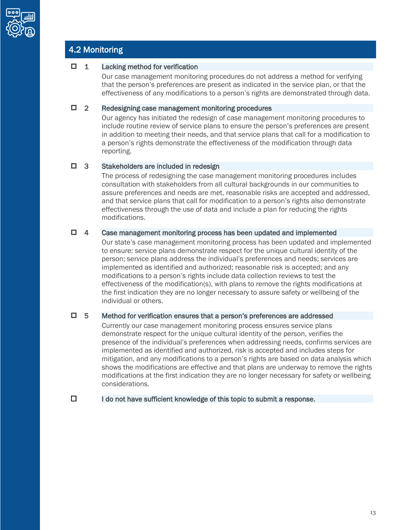

# 4.2 Monitoring

### $\Box$  1 Lacking method for verification

 effectiveness of any modifications to a person's rights are demonstrated through data. Our case management monitoring procedures do not address a method for verifying that the person's preferences are present as indicated in the service plan, or that the

#### □ 2 Redesigning case management monitoring procedures

 in addition to meeting their needs, and that service plans that call for a modification to Our agency has initiated the redesign of case management monitoring procedures to include routine review of service plans to ensure the person's preferences are present a person's rights demonstrate the effectiveness of the modification through data reporting.

### □ 3 Stakeholders are included in redesign

 consultation with stakeholders from all cultural backgrounds in our communities to effectiveness through the use of data and include a plan for reducing the rights The process of redesigning the case management monitoring procedures includes assure preferences and needs are met, reasonable risks are accepted and addressed, and that service plans that call for modification to a person's rights also demonstrate modifications.

### $\Box$  4 Case management monitoring process has been updated and implemented

 effectiveness of the modification(s), with plans to remove the rights modifications at the first indication they are no longer necessary to assure safety or wellbeing of the Our state's case management monitoring process has been updated and implemented to ensure: service plans demonstrate respect for the unique cultural identity of the person; service plans address the individual's preferences and needs; services are implemented as identified and authorized; reasonable risk is accepted; and any modifications to a person's rights include data collection reviews to test the individual or others.

### $\Box$  5 Method for verification ensures that a person's preferences are addressed

 presence of the individual's preferences when addressing needs, confirms services are implemented as identified and authorized, risk is accepted and includes steps for modifications at the first indication they are no longer necessary for safety or wellbeing Currently our case management monitoring process ensures service plans demonstrate respect for the unique cultural identity of the person, verifies the mitigation, and any modifications to a person's rights are based on data analysis which shows the modifications are effective and that plans are underway to remove the rights considerations.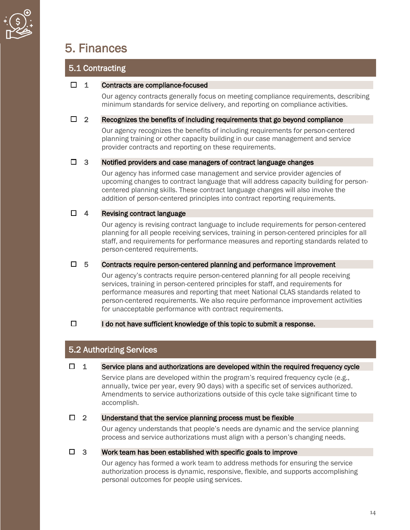

# 5. Finances

# 5.1 Contracting

### $\Box$  1 Contracts are compliance-focused

 Our agency contracts generally focus on meeting compliance requirements, describing minimum standards for service delivery, and reporting on compliance activities.

### $\Box$  2 Recognizes the benefits of including requirements that go beyond compliance

 planning training or other capacity building in our case management and service Our agency recognizes the benefits of including requirements for person-centered provider contracts and reporting on these requirements.

### $\Box$  3 Notified providers and case managers of contract language changes

Our agency has informed case management and service provider agencies of upcoming changes to contract language that will address capacity building for personcentered planning skills. These contract language changes will also involve the addition of person-centered principles into contract reporting requirements.

### □ 4 Revising contract language

 planning for all people receiving services, training in person-centered principles for all Our agency is revising contract language to include requirements for person-centered staff, and requirements for performance measures and reporting standards related to person-centered requirements.

### $\Box$  5 Contracts require person-centered planning and performance improvement

 services, training in person-centered principles for staff, and requirements for Our agency's contracts require person-centered planning for all people receiving performance measures and reporting that meet National CLAS standards related to person-centered requirements. We also require performance improvement activities for unacceptable performance with contract requirements.

### $\Box$  I do not have sufficient knowledge of this topic to submit a response.

# 5.2 Authorizing Services

### $\Box$  1 Service plans and authorizations are developed within the required frequency cycle

 annually, twice per year, every 90 days) with a specific set of services authorized. Service plans are developed within the program's required frequency cycle (e.g., Amendments to service authorizations outside of this cycle take significant time to accomplish.

### $\Box$  2 Understand that the service planning process must be flexible

 process and service authorizations must align with a person's changing needs. Our agency understands that people's needs are dynamic and the service planning

### $\Box$  3 Work team has been established with specific goals to improve

 Our agency has formed a work team to address methods for ensuring the service authorization process is dynamic, responsive, flexible, and supports accomplishing personal outcomes for people using services.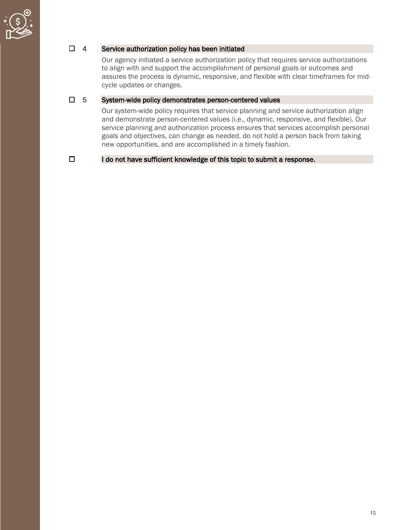

### $\Box$  4 Service authorization policy has been initiated

 Our agency initiated a service authorization policy that requires service authorizations to align with and support the accomplishment of personal goals or outcomes and assures the process is dynamic, responsive, and flexible with clear timeframes for midcycle updates or changes.

### $\Box$  5 System-wide policy demonstrates person-centered values

 goals and objectives, can change as needed, do not hold a person back from taking Our system-wide policy requires that service planning and service authorization align and demonstrate person-centered values (i.e., dynamic, responsive, and flexible). Our service planning and authorization process ensures that services accomplish personal new opportunities, and are accomplished in a timely fashion.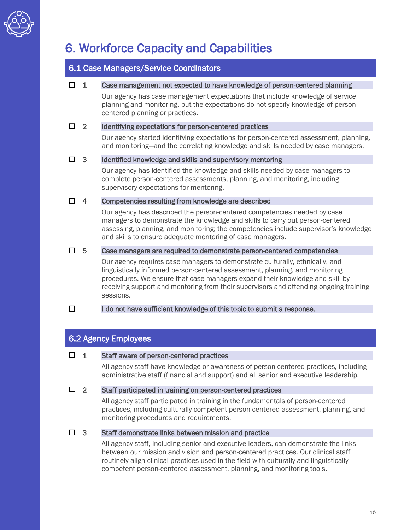

# 6. Workforce Capacity and Capabilities

## 6.1 Case Managers/Service Coordinators

### $\Box$  1 Case management not expected to have knowledge of person-centered planning

Our agency has case management expectations that include knowledge of service planning and monitoring, but the expectations do not specify knowledge of personcentered planning or practices.

### $\Box$  2 Identifying expectations for person-centered practices

 and monitoring—and the correlating knowledge and skills needed by case managers. Our agency started identifying expectations for person-centered assessment, planning,

### $\Box$  3 Identified knowledge and skills and supervisory mentoring

 Our agency has identified the knowledge and skills needed by case managers to complete person-centered assessments, planning, and monitoring, including supervisory expectations for mentoring.

### $\Box$  4 Competencies resulting from knowledge are described

 Our agency has described the person-centered competencies needed by case managers to demonstrate the knowledge and skills to carry out person-centered assessing, planning, and monitoring; the competencies include supervisor's knowledge and skills to ensure adequate mentoring of case managers.

### $\Box$  5 Case managers are required to demonstrate person-centered competencies

 linguistically informed person-centered assessment, planning, and monitoring procedures. We ensure that case managers expand their knowledge and skill by Our agency requires case managers to demonstrate culturally, ethnically, and receiving support and mentoring from their supervisors and attending ongoing training sessions.

### $\Box$  I do not have sufficient knowledge of this topic to submit a response.

## 6.2 Agency Employees

### $\Box$  1 Staff aware of person-centered practices

All agency staff have knowledge or awareness of person-centered practices, including administrative staff (financial and support) and all senior and executive leadership.

### $\Box$  2 Staff participated in training on person-centered practices

All agency staff participated in training in the fundamentals of person-centered practices, including culturally competent person-centered assessment, planning, and monitoring procedures and requirements.

### □ 3 Staff demonstrate links between mission and practice

 All agency staff, including senior and executive leaders, can demonstrate the links routinely align clinical practices used in the field with culturally and linguistically between our mission and vision and person-centered practices. Our clinical staff competent person-centered assessment, planning, and monitoring tools.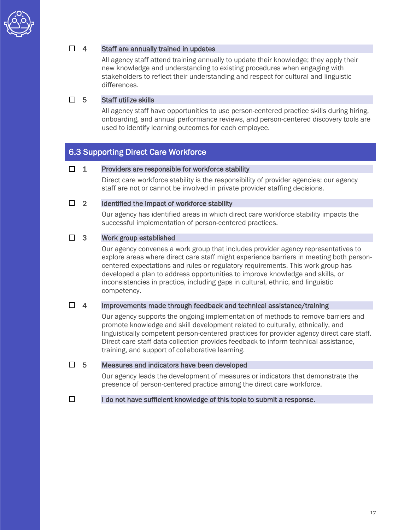

### $\Box$  4 Staff are annually trained in updates

 All agency staff attend training annually to update their knowledge; they apply their stakeholders to reflect their understanding and respect for cultural and linguistic new knowledge and understanding to existing procedures when engaging with differences.

### $\Box$  5 Staff utilize skills

 All agency staff have opportunities to use person-centered practice skills during hiring, onboarding, and annual performance reviews, and person-centered discovery tools are used to identify learning outcomes for each employee.

### 6.3 Supporting Direct Care Workforce

### $\Box$  1 Providers are responsible for workforce stability

Direct care workforce stability is the responsibility of provider agencies; our agency staff are not or cannot be involved in private provider staffing decisions.

### $\Box$  2 Identified the impact of workforce stability

 Our agency has identified areas in which direct care workforce stability impacts the successful implementation of person-centered practices.

### $\Box$  3 Work group established

 centered expectations and rules or regulatory requirements. This work group has Our agency convenes a work group that includes provider agency representatives to explore areas where direct care staff might experience barriers in meeting both persondeveloped a plan to address opportunities to improve knowledge and skills, or inconsistencies in practice, including gaps in cultural, ethnic, and linguistic competency.

### $\Box$  4 Improvements made through feedback and technical assistance/training

 Our agency supports the ongoing implementation of methods to remove barriers and promote knowledge and skill development related to culturally, ethnically, and training, and support of collaborative learning. linguistically competent person-centered practices for provider agency direct care staff. Direct care staff data collection provides feedback to inform technical assistance,

### $\Box$  5 Measures and indicators have been developed

 Our agency leads the development of measures or indicators that demonstrate the presence of person-centered practice among the direct care workforce.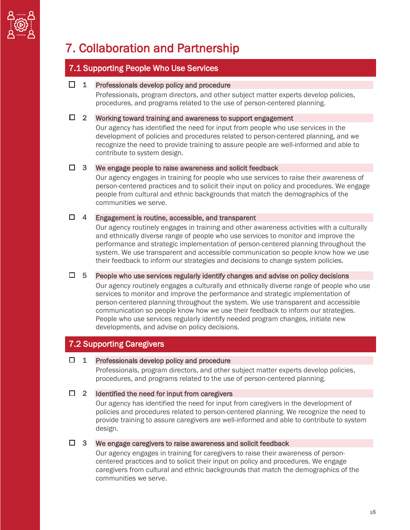

# 7. Collaboration and Partnership

## 7.1 Supporting People Who Use Services

#### $\Box$  1 Professionals develop policy and procedure

Professionals, program directors, and other subject matter experts develop policies, procedures, and programs related to the use of person-centered planning.

### $\Box$  2 Working toward training and awareness to support engagement

 Our agency has identified the need for input from people who use services in the development of policies and procedures related to person-centered planning, and we recognize the need to provide training to assure people are well-informed and able to contribute to system design.

#### $\Box$  3 We engage people to raise awareness and solicit feedback

 people from cultural and ethnic backgrounds that match the demographics of the Our agency engages in training for people who use services to raise their awareness of person-centered practices and to solicit their input on policy and procedures. We engage communities we serve.

### $\Box$  4 Engagement is routine, accessible, and transparent

 Our agency routinely engages in training and other awareness activities with a culturally and ethnically diverse range of people who use services to monitor and improve the performance and strategic implementation of person-centered planning throughout the system. We use transparent and accessible communication so people know how we use their feedback to inform our strategies and decisions to change system policies.

#### $\Box$  5 People who use services regularly identify changes and advise on policy decisions

 communication so people know how we use their feedback to inform our strategies. Our agency routinely engages a culturally and ethnically diverse range of people who use services to monitor and improve the performance and strategic implementation of person-centered planning throughout the system. We use transparent and accessible People who use services regularly identify needed program changes, initiate new developments, and advise on policy decisions.

### 7.2 Supporting Caregivers

### $\Box$  1 Professionals develop policy and procedure

 Professionals, program directors, and other subject matter experts develop policies, procedures, and programs related to the use of person-centered planning.

### $\Box$  2 Identified the need for input from caregivers

 Our agency has identified the need for input from caregivers in the development of provide training to assure caregivers are well-informed and able to contribute to system policies and procedures related to person-centered planning. We recognize the need to design.

### $\Box$  3 We engage caregivers to raise awareness and solicit feedback

 caregivers from cultural and ethnic backgrounds that match the demographics of the Our agency engages in training for caregivers to raise their awareness of personcentered practices and to solicit their input on policy and procedures. We engage communities we serve.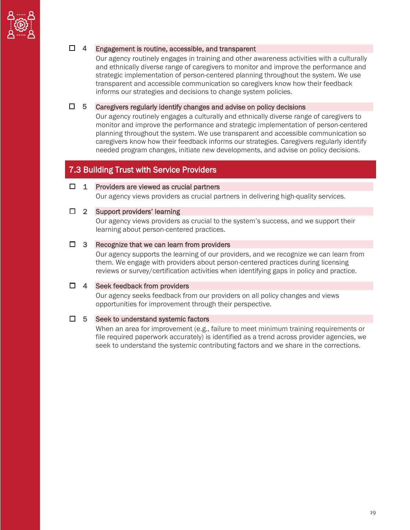

### □ 4 Engagement is routine, accessible, and transparent

 Our agency routinely engages in training and other awareness activities with a culturally and ethnically diverse range of caregivers to monitor and improve the performance and strategic implementation of person-centered planning throughout the system. We use transparent and accessible communication so caregivers know how their feedback informs our strategies and decisions to change system policies.

### $\Box$  5 Caregivers regularly identify changes and advise on policy decisions

 needed program changes, initiate new developments, and advise on policy decisions. Our agency routinely engages a culturally and ethnically diverse range of caregivers to monitor and improve the performance and strategic implementation of person-centered planning throughout the system. We use transparent and accessible communication so caregivers know how their feedback informs our strategies. Caregivers regularly identify

## 7.3 Building Trust with Service Providers

#### $\Box$  1 Providers are viewed as crucial partners

Our agency views providers as crucial partners in delivering high-quality services.

#### □ 2 Support providers' learning

 Our agency views providers as crucial to the system's success, and we support their learning about person-centered practices.

### $\Box$  3 Recognize that we can learn from providers

 Our agency supports the learning of our providers, and we recognize we can learn from them. We engage with providers about person-centered practices during licensing reviews or survey/certification activities when identifying gaps in policy and practice.

### $\Box$  4 Seek feedback from providers

 Our agency seeks feedback from our providers on all policy changes and views opportunities for improvement through their perspective.

### $\Box$  5 Seek to understand systemic factors

 When an area for improvement (e.g., failure to meet minimum training requirements or file required paperwork accurately) is identified as a trend across provider agencies, we seek to understand the systemic contributing factors and we share in the corrections.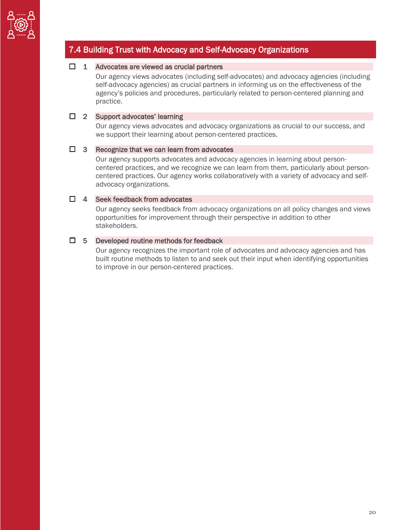

# 7.4 Building Trust with Advocacy and Self-Advocacy Organizations

### $\Box$  1 Advocates are viewed as crucial partners

 self-advocacy agencies) as crucial partners in informing us on the effectiveness of the Our agency views advocates (including self-advocates) and advocacy agencies (including agency's policies and procedures, particularly related to person-centered planning and practice.

#### □ 2 Support advocates' learning

 Our agency views advocates and advocacy organizations as crucial to our success, and we support their learning about person-centered practices.

### $\Box$  3 Recognize that we can learn from advocates

 Our agency supports advocates and advocacy agencies in learning about person- centered practices. Our agency works collaboratively with a variety of advocacy and selfcentered practices, and we recognize we can learn from them, particularly about personadvocacy organizations.

### $\Box$  4 Seek feedback from advocates

 Our agency seeks feedback from advocacy organizations on all policy changes and views opportunities for improvement through their perspective in addition to other stakeholders.

### $\Box$  5 Developed routine methods for feedback

Our agency recognizes the important role of advocates and advocacy agencies and has built routine methods to listen to and seek out their input when identifying opportunities to improve in our person-centered practices.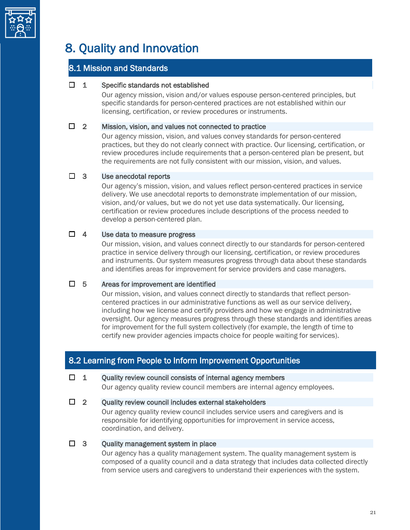

# 8. Quality and Innovation

## 8.1 Mission and Standards

### $\Box$  1 Specific standards not established

 specific standards for person-centered practices are not established within our Our agency mission, vision and/or values espouse person-centered principles, but licensing, certification, or review procedures or instruments.

### $\Box$  2 Mission, vision, and values not connected to practice

 Our agency mission, vision, and values convey standards for person-centered practices, but they do not clearly connect with practice. Our licensing, certification, or review procedures include requirements that a person-centered plan be present, but the requirements are not fully consistent with our mission, vision, and values.

### $\Box$  3 Use anecdotal reports

 Our agency's mission, vision, and values reflect person-centered practices in service delivery. We use anecdotal reports to demonstrate implementation of our mission, vision, and/or values, but we do not yet use data systematically. Our licensing, certification or review procedures include descriptions of the process needed to develop a person-centered plan.

### $\Box$  4 Use data to measure progress

 Our mission, vision, and values connect directly to our standards for person-centered practice in service delivery through our licensing, certification, or review procedures and instruments. Our system measures progress through data about these standards and identifies areas for improvement for service providers and case managers.

### $\Box$  5 Areas for improvement are identified

 centered practices in our administrative functions as well as our service delivery, including how we license and certify providers and how we engage in administrative oversight. Our agency measures progress through these standards and identifies areas Our mission, vision, and values connect directly to standards that reflect personfor improvement for the full system collectively (for example, the length of time to certify new provider agencies impacts choice for people waiting for services).

# 8.2 Learning from People to Inform Improvement Opportunities

### $\Box$  1 Quality review council consists of internal agency members

Our agency quality review council members are internal agency employees.

### $\Box$  2 Ouality review council includes external stakeholders

 Our agency quality review council includes service users and caregivers and is responsible for identifying opportunities for improvement in service access, coordination, and delivery.

### $\Box$  3 Quality management system in place

 Our agency has a quality management system. The quality management system is composed of a quality council and a data strategy that includes data collected directly from service users and caregivers to understand their experiences with the system.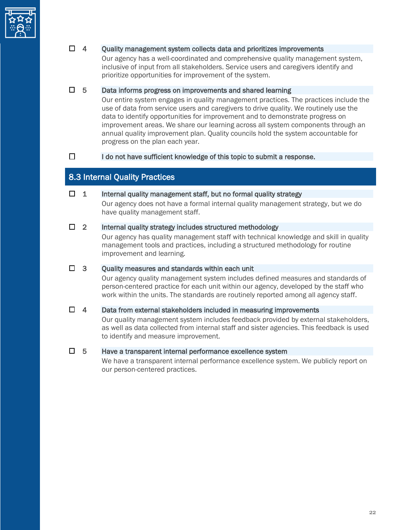

### $\Box$  4 Ouality management system collects data and prioritizes improvements

 inclusive of input from all stakeholders. Service users and caregivers identify and prioritize opportunities for improvement of the system. Our agency has a well-coordinated and comprehensive quality management system,

### $\Box$  5 Data informs progress on improvements and shared learning

 use of data from service users and caregivers to drive quality. We routinely use the data to identify opportunities for improvement and to demonstrate progress on progress on the plan each year. Our entire system engages in quality management practices. The practices include the improvement areas. We share our learning across all system components through an annual quality improvement plan. Quality councils hold the system accountable for

### $\Box$  I do not have sufficient knowledge of this topic to submit a response.

## 8.3 Internal Quality Practices

#### $\Box$  1 Internal quality management staff, but no formal quality strategy

Our agency does not have a formal internal quality management strategy, but we do have quality management staff.

### $\Box$  2 Internal quality strategy includes structured methodology

 management tools and practices, including a structured methodology for routine Our agency has quality management staff with technical knowledge and skill in quality improvement and learning.

### $\Box$  3 Quality measures and standards within each unit

 person-centered practice for each unit within our agency, developed by the staff who work within the units. The standards are routinely reported among all agency staff. Our agency quality management system includes defined measures and standards of

### $\Box$  4 Data from external stakeholders included in measuring improvements

 Our quality management system includes feedback provided by external stakeholders, as well as data collected from internal staff and sister agencies. This feedback is used to identify and measure improvement.

### $\Box$  5 Have a transparent internal performance excellence system

We have a transparent internal performance excellence system. We publicly report on our person-centered practices.